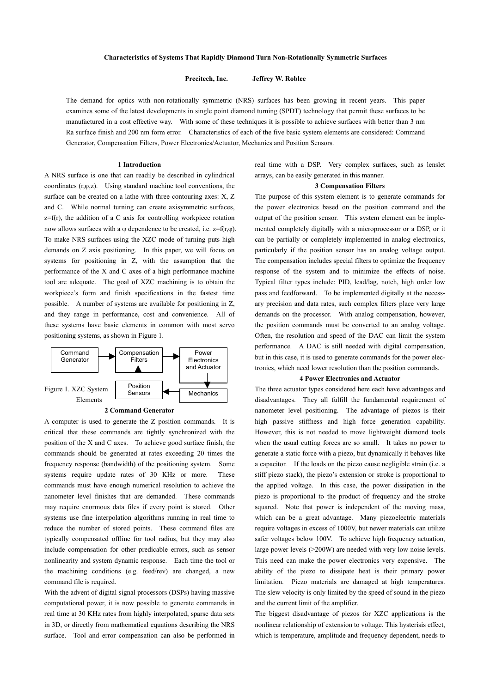**Precitech, Inc. Jeffrey W. Roblee** 

The demand for optics with non-rotationally symmetric (NRS) surfaces has been growing in recent years. This paper examines some of the latest developments in single point diamond turning (SPDT) technology that permit these surfaces to be manufactured in a cost effective way. With some of these techniques it is possible to achieve surfaces with better than 3 nm Ra surface finish and 200 nm form error. Characteristics of each of the five basic system elements are considered: Command Generator, Compensation Filters, Power Electronics/Actuator, Mechanics and Position Sensors.

### **1 Introduction**

A NRS surface is one that can readily be described in cylindrical coordinates  $(r, \varphi, z)$ . Using standard machine tool conventions, the surface can be created on a lathe with three contouring axes: X, Z and C. While normal turning can create axisymmetric surfaces,  $z=f(r)$ , the addition of a C axis for controlling workpiece rotation now allows surfaces with a φ dependence to be created, i.e.  $z=f(r,φ)$ . To make NRS surfaces using the XZC mode of turning puts high demands on Z axis positioning. In this paper, we will focus on systems for positioning in Z, with the assumption that the performance of the X and C axes of a high performance machine tool are adequate. The goal of XZC machining is to obtain the workpiece's form and finish specifications in the fastest time possible. A number of systems are available for positioning in Z, and they range in performance, cost and convenience. All of these systems have basic elements in common with most servo positioning systems, as shown in Figure 1.



## **2 Command Generator**

A computer is used to generate the Z position commands. It is critical that these commands are tightly synchronized with the position of the X and C axes. To achieve good surface finish, the commands should be generated at rates exceeding 20 times the frequency response (bandwidth) of the positioning system. Some systems require update rates of 30 KHz or more. These commands must have enough numerical resolution to achieve the nanometer level finishes that are demanded. These commands may require enormous data files if every point is stored. Other systems use fine interpolation algorithms running in real time to reduce the number of stored points. These command files are typically compensated offline for tool radius, but they may also include compensation for other predicable errors, such as sensor nonlinearity and system dynamic response. Each time the tool or the machining conditions (e.g. feed/rev) are changed, a new command file is required.

With the advent of digital signal processors (DSPs) having massive computational power, it is now possible to generate commands in real time at 30 KHz rates from highly interpolated, sparse data sets in 3D, or directly from mathematical equations describing the NRS surface. Tool and error compensation can also be performed in real time with a DSP. Very complex surfaces, such as lenslet arrays, can be easily generated in this manner.

# **3 Compensation Filters**

The purpose of this system element is to generate commands for the power electronics based on the position command and the output of the position sensor. This system element can be implemented completely digitally with a microprocessor or a DSP, or it can be partially or completely implemented in analog electronics, particularly if the position sensor has an analog voltage output. The compensation includes special filters to optimize the frequency response of the system and to minimize the effects of noise. Typical filter types include: PID, lead/lag, notch, high order low pass and feedforward. To be implemented digitally at the necessary precision and data rates, such complex filters place very large demands on the processor. With analog compensation, however, the position commands must be converted to an analog voltage. Often, the resolution and speed of the DAC can limit the system performance. A DAC is still needed with digital compensation, but in this case, it is used to generate commands for the power electronics, which need lower resolution than the position commands.

#### **4 Power Electronics and Actuator**

The three actuator types considered here each have advantages and disadvantages. They all fulfill the fundamental requirement of nanometer level positioning. The advantage of piezos is their high passive stiffness and high force generation capability. However, this is not needed to move lightweight diamond tools when the usual cutting forces are so small. It takes no power to generate a static force with a piezo, but dynamically it behaves like a capacitor. If the loads on the piezo cause negligible strain (i.e. a stiff piezo stack), the piezo's extension or stroke is proportional to the applied voltage. In this case, the power dissipation in the piezo is proportional to the product of frequency and the stroke squared. Note that power is independent of the moving mass, which can be a great advantage. Many piezoelectric materials require voltages in excess of 1000V, but newer materials can utilize safer voltages below 100V. To achieve high frequency actuation, large power levels (>200W) are needed with very low noise levels. This need can make the power electronics very expensive. The ability of the piezo to dissipate heat is their primary power limitation. Piezo materials are damaged at high temperatures. The slew velocity is only limited by the speed of sound in the piezo and the current limit of the amplifier.

The biggest disadvantage of piezos for XZC applications is the nonlinear relationship of extension to voltage. This hysterisis effect, which is temperature, amplitude and frequency dependent, needs to